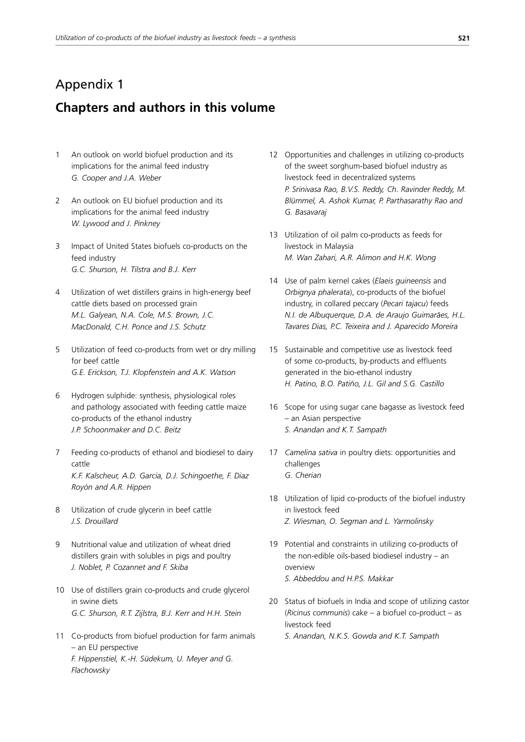## Appendix 1

## **Chapters and authors in this volume**

- 1 An outlook on world biofuel production and its implications for the animal feed industry *G. Cooper and J.A. Weber*
- 2 An outlook on EU biofuel production and its implications for the animal feed industry *W. Lywood and J. Pinkney*
- 3 Impact of United States biofuels co-products on the feed industry *G.C. Shurson, H. Tilstra and B.J. Kerr*
- 4 Utilization of wet distillers grains in high-energy beef cattle diets based on processed grain *M.L. Galyean, N.A. Cole, M.S. Brown, J.C. MacDonald, C.H. Ponce and J.S. Schutz*
- 5 Utilization of feed co-products from wet or dry milling for beef cattle *G.E. Erickson, T.J. Klopfenstein and A.K. Watson*
- Hydrogen sulphide: synthesis, physiological roles and pathology associated with feeding cattle maize co-products of the ethanol industry *J.P. Schoonmaker and D.C. Beitz*
- 7 Feeding co-products of ethanol and biodiesel to dairy cattle *K.F. Kalscheur, A.D. Garcia, D.J. Schingoethe, F. Diaz Royón and A.R. Hippen*
- 8 Utilization of crude glycerin in beef cattle *J.S. Drouillard*
- 9 Nutritional value and utilization of wheat dried distillers grain with solubles in pigs and poultry *J. Noblet, P. Cozannet and F. Skiba*
- 10 Use of distillers grain co-products and crude glycerol in swine diets *G.C. Shurson, R.T. Zijlstra, B.J. Kerr and H.H. Stein*
- 11 Co-products from biofuel production for farm animals – an EU perspective *F. Hippenstiel, K.-H. Südekum, U. Meyer and G. Flachowsky*
- 12 Opportunities and challenges in utilizing co-products of the sweet sorghum-based biofuel industry as livestock feed in decentralized systems *P. Srinivasa Rao, B.V.S. Reddy, Ch. Ravinder Reddy, M. Blümmel, A. Ashok Kumar, P. Parthasarathy Rao and G. Basavaraj*
- 13 Utilization of oil palm co-products as feeds for livestock in Malaysia *M. Wan Zahari, A.R. Alimon and H.K. Wong*
- 14 Use of palm kernel cakes (*Elaeis guineensis* and *Orbignya phalerata*), co-products of the biofuel industry, in collared peccary (*Pecari tajacu*) feeds *N.I. de Albuquerque, D.A. de Araujo Guimarães, H.L. Tavares Dias, P.C. Teixeira and J. Aparecido Moreira*
- 15 Sustainable and competitive use as livestock feed of some co-products, by-products and effluents generated in the bio-ethanol industry *H. Patino, B.O. Patiño, J.L. Gil and S.G. Castillo*
- 16 Scope for using sugar cane bagasse as livestock feed – an Asian perspective *S. Anandan and K.T. Sampath*
- 17 *Camelina sativa* in poultry diets: opportunities and challenges *G. Cherian*
- 18 Utilization of lipid co-products of the biofuel industry in livestock feed *Z. Wiesman, O. Segman and L. Yarmolinsky*
- 19 Potential and constraints in utilizing co-products of the non-edible oils-based biodiesel industry – an overview *S. Abbeddou and H.P.S. Makkar*
- 20 Status of biofuels in India and scope of utilizing castor (*Ricinus communis*) cake – a biofuel co-product – as livestock feed
	- *S. Anandan, N.K.S. Gowda and K.T. Sampath*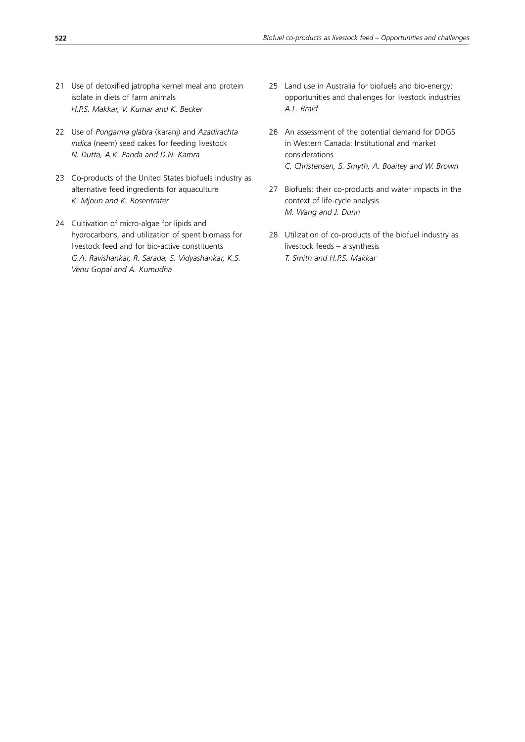- 21 Use of detoxified jatropha kernel meal and protein isolate in diets of farm animals *H.P.S. Makkar, V. Kumar and K. Becker*
- 22 Use of *Pongamia glabra* (karanj) and *Azadirachta indica* (neem) seed cakes for feeding livestock *N. Dutta, A.K. Panda and D.N. Kamra*
- 23 Co-products of the United States biofuels industry as alternative feed ingredients for aquaculture *K. Mjoun and K. Rosentrater*
- 24 Cultivation of micro-algae for lipids and hydrocarbons, and utilization of spent biomass for livestock feed and for bio-active constituents *G.A. Ravishankar, R. Sarada, S. Vidyashankar, K.S. Venu Gopal and A. Kumudha*
- 25 Land use in Australia for biofuels and bio-energy: opportunities and challenges for livestock industries *A.L. Braid*
- 26 An assessment of the potential demand for DDGS in Western Canada: Institutional and market considerations *C. Christensen, S. Smyth, A. Boaitey and W. Brown*
- 27 Biofuels: their co-products and water impacts in the context of life-cycle analysis *M. Wang and J. Dunn*
- 28 Utilization of co-products of the biofuel industry as livestock feeds – a synthesis *T. Smith and H.P.S. Makkar*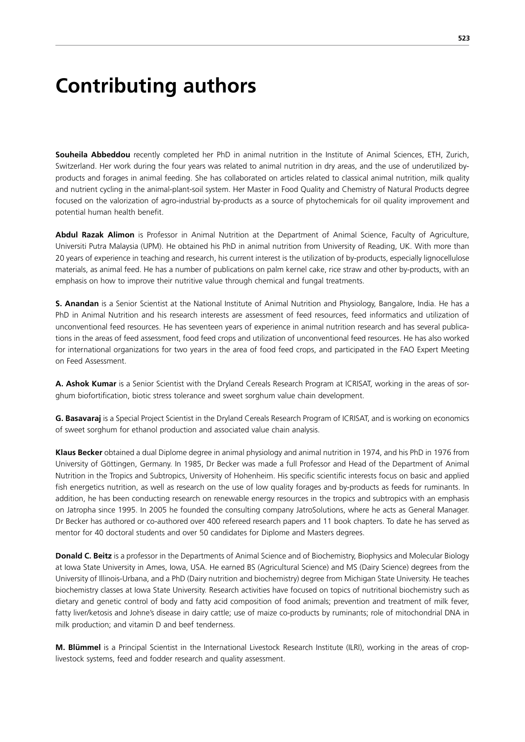## **Contributing authors**

**Souheila Abbeddou** recently completed her PhD in animal nutrition in the Institute of Animal Sciences, ETH, Zurich, Switzerland. Her work during the four years was related to animal nutrition in dry areas, and the use of underutilized byproducts and forages in animal feeding. She has collaborated on articles related to classical animal nutrition, milk quality and nutrient cycling in the animal-plant-soil system. Her Master in Food Quality and Chemistry of Natural Products degree focused on the valorization of agro-industrial by-products as a source of phytochemicals for oil quality improvement and potential human health benefit.

**Abdul Razak Alimon** is Professor in Animal Nutrition at the Department of Animal Science, Faculty of Agriculture, Universiti Putra Malaysia (UPM). He obtained his PhD in animal nutrition from University of Reading, UK. With more than 20 years of experience in teaching and research, his current interest is the utilization of by-products, especially lignocellulose materials, as animal feed. He has a number of publications on palm kernel cake, rice straw and other by-products, with an emphasis on how to improve their nutritive value through chemical and fungal treatments.

**S. Anandan** is a Senior Scientist at the National Institute of Animal Nutrition and Physiology, Bangalore, India. He has a PhD in Animal Nutrition and his research interests are assessment of feed resources, feed informatics and utilization of unconventional feed resources. He has seventeen years of experience in animal nutrition research and has several publications in the areas of feed assessment, food feed crops and utilization of unconventional feed resources. He has also worked for international organizations for two years in the area of food feed crops, and participated in the FAO Expert Meeting on Feed Assessment.

**A. Ashok Kumar** is a Senior Scientist with the Dryland Cereals Research Program at ICRISAT, working in the areas of sorghum biofortification, biotic stress tolerance and sweet sorghum value chain development.

**G. Basavaraj** is a Special Project Scientist in the Dryland Cereals Research Program of ICRISAT, and is working on economics of sweet sorghum for ethanol production and associated value chain analysis.

**Klaus Becker** obtained a dual Diplome degree in animal physiology and animal nutrition in 1974, and his PhD in 1976 from University of Göttingen, Germany. In 1985, Dr Becker was made a full Professor and Head of the Department of Animal Nutrition in the Tropics and Subtropics, University of Hohenheim. His specific scientific interests focus on basic and applied fish energetics nutrition, as well as research on the use of low quality forages and by-products as feeds for ruminants. In addition, he has been conducting research on renewable energy resources in the tropics and subtropics with an emphasis on Jatropha since 1995. In 2005 he founded the consulting company JatroSolutions, where he acts as General Manager. Dr Becker has authored or co-authored over 400 refereed research papers and 11 book chapters. To date he has served as mentor for 40 doctoral students and over 50 candidates for Diplome and Masters degrees.

**Donald C. Beitz** is a professor in the Departments of Animal Science and of Biochemistry, Biophysics and Molecular Biology at Iowa State University in Ames, Iowa, USA. He earned BS (Agricultural Science) and MS (Dairy Science) degrees from the University of Illinois-Urbana, and a PhD (Dairy nutrition and biochemistry) degree from Michigan State University. He teaches biochemistry classes at Iowa State University. Research activities have focused on topics of nutritional biochemistry such as dietary and genetic control of body and fatty acid composition of food animals; prevention and treatment of milk fever, fatty liver/ketosis and Johne's disease in dairy cattle; use of maize co-products by ruminants; role of mitochondrial DNA in milk production; and vitamin D and beef tenderness.

**M. Blümmel** is a Principal Scientist in the International Livestock Research Institute (ILRI), working in the areas of croplivestock systems, feed and fodder research and quality assessment.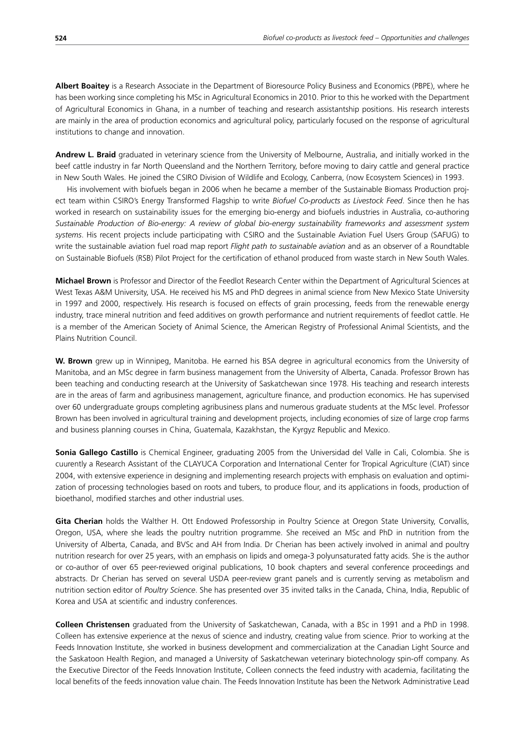**Albert Boaitey** is a Research Associate in the Department of Bioresource Policy Business and Economics (PBPE), where he has been working since completing his MSc in Agricultural Economics in 2010. Prior to this he worked with the Department of Agricultural Economics in Ghana, in a number of teaching and research assistantship positions. His research interests are mainly in the area of production economics and agricultural policy, particularly focused on the response of agricultural institutions to change and innovation.

**Andrew L. Braid** graduated in veterinary science from the University of Melbourne, Australia, and initially worked in the beef cattle industry in far North Queensland and the Northern Territory, before moving to dairy cattle and general practice in New South Wales. He joined the CSIRO Division of Wildlife and Ecology, Canberra, (now Ecosystem Sciences) in 1993.

His involvement with biofuels began in 2006 when he became a member of the Sustainable Biomass Production project team within CSIRO's Energy Transformed Flagship to write *Biofuel Co-products as Livestock Feed*. Since then he has worked in research on sustainability issues for the emerging bio-energy and biofuels industries in Australia, co-authoring *Sustainable Production of Bio-energy: A review of global bio-energy sustainability frameworks and assessment system systems*. His recent projects include participating with CSIRO and the Sustainable Aviation Fuel Users Group (SAFUG) to write the sustainable aviation fuel road map report *Flight path to sustainable aviation* and as an observer of a Roundtable on Sustainable Biofuels (RSB) Pilot Project for the certification of ethanol produced from waste starch in New South Wales.

**Michael Brown** is Professor and Director of the Feedlot Research Center within the Department of Agricultural Sciences at West Texas A&M University, USA. He received his MS and PhD degrees in animal science from New Mexico State University in 1997 and 2000, respectively. His research is focused on effects of grain processing, feeds from the renewable energy industry, trace mineral nutrition and feed additives on growth performance and nutrient requirements of feedlot cattle. He is a member of the American Society of Animal Science, the American Registry of Professional Animal Scientists, and the Plains Nutrition Council.

**W. Brown** grew up in Winnipeg, Manitoba. He earned his BSA degree in agricultural economics from the University of Manitoba, and an MSc degree in farm business management from the University of Alberta, Canada. Professor Brown has been teaching and conducting research at the University of Saskatchewan since 1978. His teaching and research interests are in the areas of farm and agribusiness management, agriculture finance, and production economics. He has supervised over 60 undergraduate groups completing agribusiness plans and numerous graduate students at the MSc level. Professor Brown has been involved in agricultural training and development projects, including economies of size of large crop farms and business planning courses in China, Guatemala, Kazakhstan, the Kyrgyz Republic and Mexico.

**Sonia Gallego Castillo** is Chemical Engineer, graduating 2005 from the Universidad del Valle in Cali, Colombia. She is cuurently a Research Assistant of the CLAYUCA Corporation and International Center for Tropical Agriculture (CIAT) since 2004, with extensive experience in designing and implementing research projects with emphasis on evaluation and optimization of processing technologies based on roots and tubers, to produce flour, and its applications in foods, production of bioethanol, modified starches and other industrial uses.

**Gita Cherian** holds the Walther H. Ott Endowed Professorship in Poultry Science at Oregon State University, Corvallis, Oregon, USA, where she leads the poultry nutrition programme. She received an MSc and PhD in nutrition from the University of Alberta, Canada, and BVSc and AH from India. Dr Cherian has been actively involved in animal and poultry nutrition research for over 25 years, with an emphasis on lipids and omega-3 polyunsaturated fatty acids. She is the author or co-author of over 65 peer-reviewed original publications, 10 book chapters and several conference proceedings and abstracts. Dr Cherian has served on several USDA peer-review grant panels and is currently serving as metabolism and nutrition section editor of *Poultry Science*. She has presented over 35 invited talks in the Canada, China, India, Republic of Korea and USA at scientific and industry conferences.

**Colleen Christensen** graduated from the University of Saskatchewan, Canada, with a BSc in 1991 and a PhD in 1998. Colleen has extensive experience at the nexus of science and industry, creating value from science. Prior to working at the Feeds Innovation Institute, she worked in business development and commercialization at the Canadian Light Source and the Saskatoon Health Region, and managed a University of Saskatchewan veterinary biotechnology spin-off company. As the Executive Director of the Feeds Innovation Institute, Colleen connects the feed industry with academia, facilitating the local benefits of the feeds innovation value chain. The Feeds Innovation Institute has been the Network Administrative Lead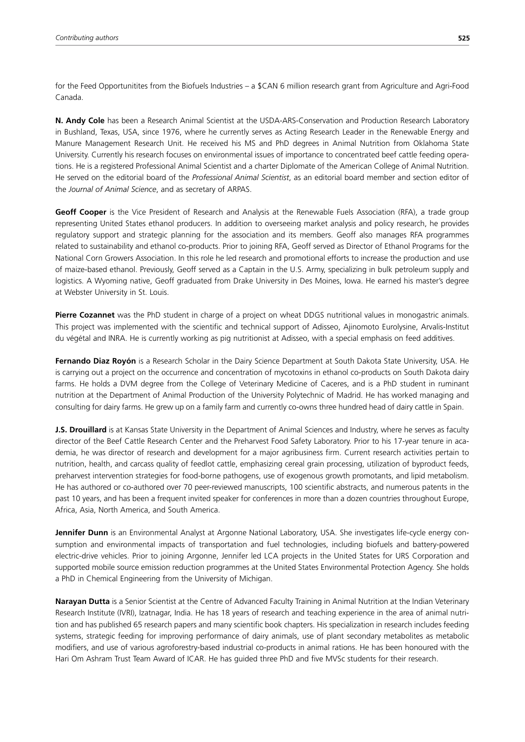for the Feed Opportunitites from the Biofuels Industries – a \$CAN 6 million research grant from Agriculture and Agri-Food Canada.

**N. Andy Cole** has been a Research Animal Scientist at the USDA-ARS-Conservation and Production Research Laboratory in Bushland, Texas, USA, since 1976, where he currently serves as Acting Research Leader in the Renewable Energy and Manure Management Research Unit. He received his MS and PhD degrees in Animal Nutrition from Oklahoma State University. Currently his research focuses on environmental issues of importance to concentrated beef cattle feeding operations. He is a registered Professional Animal Scientist and a charter Diplomate of the American College of Animal Nutrition. He served on the editorial board of the *Professional Animal Scientist*, as an editorial board member and section editor of the *Journal of Animal Science*, and as secretary of ARPAS.

**Geoff Cooper** is the Vice President of Research and Analysis at the Renewable Fuels Association (RFA), a trade group representing United States ethanol producers. In addition to overseeing market analysis and policy research, he provides regulatory support and strategic planning for the association and its members. Geoff also manages RFA programmes related to sustainability and ethanol co-products. Prior to joining RFA, Geoff served as Director of Ethanol Programs for the National Corn Growers Association. In this role he led research and promotional efforts to increase the production and use of maize-based ethanol. Previously, Geoff served as a Captain in the U.S. Army, specializing in bulk petroleum supply and logistics. A Wyoming native, Geoff graduated from Drake University in Des Moines, Iowa. He earned his master's degree at Webster University in St. Louis.

**Pierre Cozannet** was the PhD student in charge of a project on wheat DDGS nutritional values in monogastric animals. This project was implemented with the scientific and technical support of Adisseo, Ajinomoto Eurolysine, Arvalis-Institut du végétal and INRA. He is currently working as pig nutritionist at Adisseo, with a special emphasis on feed additives.

**Fernando Diaz Royón** is a Research Scholar in the Dairy Science Department at South Dakota State University, USA. He is carrying out a project on the occurrence and concentration of mycotoxins in ethanol co-products on South Dakota dairy farms. He holds a DVM degree from the College of Veterinary Medicine of Caceres, and is a PhD student in ruminant nutrition at the Department of Animal Production of the University Polytechnic of Madrid. He has worked managing and consulting for dairy farms. He grew up on a family farm and currently co-owns three hundred head of dairy cattle in Spain.

**J.S. Drouillard** is at Kansas State University in the Department of Animal Sciences and Industry, where he serves as faculty director of the Beef Cattle Research Center and the Preharvest Food Safety Laboratory. Prior to his 17-year tenure in academia, he was director of research and development for a major agribusiness firm. Current research activities pertain to nutrition, health, and carcass quality of feedlot cattle, emphasizing cereal grain processing, utilization of byproduct feeds, preharvest intervention strategies for food-borne pathogens, use of exogenous growth promotants, and lipid metabolism. He has authored or co-authored over 70 peer-reviewed manuscripts, 100 scientific abstracts, and numerous patents in the past 10 years, and has been a frequent invited speaker for conferences in more than a dozen countries throughout Europe, Africa, Asia, North America, and South America.

**Jennifer Dunn** is an Environmental Analyst at Argonne National Laboratory, USA. She investigates life-cycle energy consumption and environmental impacts of transportation and fuel technologies, including biofuels and battery-powered electric-drive vehicles. Prior to joining Argonne, Jennifer led LCA projects in the United States for URS Corporation and supported mobile source emission reduction programmes at the United States Environmental Protection Agency. She holds a PhD in Chemical Engineering from the University of Michigan.

**Narayan Dutta** is a Senior Scientist at the Centre of Advanced Faculty Training in Animal Nutrition at the Indian Veterinary Research Institute (IVRI), Izatnagar, India. He has 18 years of research and teaching experience in the area of animal nutrition and has published 65 research papers and many scientific book chapters. His specialization in research includes feeding systems, strategic feeding for improving performance of dairy animals, use of plant secondary metabolites as metabolic modifiers, and use of various agroforestry-based industrial co-products in animal rations. He has been honoured with the Hari Om Ashram Trust Team Award of ICAR. He has guided three PhD and five MVSc students for their research.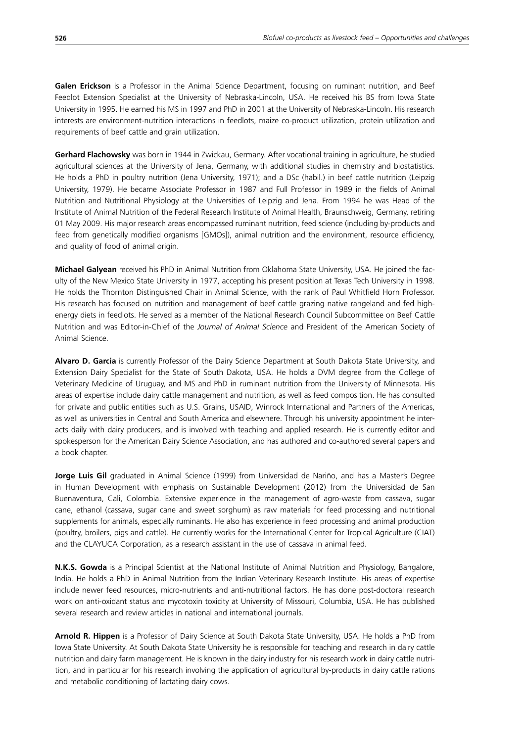Galen Erickson is a Professor in the Animal Science Department, focusing on ruminant nutrition, and Beef Feedlot Extension Specialist at the University of Nebraska-Lincoln, USA. He received his BS from Iowa State University in 1995. He earned his MS in 1997 and PhD in 2001 at the University of Nebraska-Lincoln. His research interests are environment-nutrition interactions in feedlots, maize co-product utilization, protein utilization and requirements of beef cattle and grain utilization.

**Gerhard Flachowsky** was born in 1944 in Zwickau, Germany. After vocational training in agriculture, he studied agricultural sciences at the University of Jena, Germany, with additional studies in chemistry and biostatistics. He holds a PhD in poultry nutrition (Jena University, 1971); and a DSc (habil.) in beef cattle nutrition (Leipzig University, 1979). He became Associate Professor in 1987 and Full Professor in 1989 in the fields of Animal Nutrition and Nutritional Physiology at the Universities of Leipzig and Jena. From 1994 he was Head of the Institute of Animal Nutrition of the Federal Research Institute of Animal Health, Braunschweig, Germany, retiring 01 May 2009. His major research areas encompassed ruminant nutrition, feed science (including by-products and feed from genetically modified organisms [GMOs]), animal nutrition and the environment, resource efficiency, and quality of food of animal origin.

**Michael Galyean** received his PhD in Animal Nutrition from Oklahoma State University, USA. He joined the faculty of the New Mexico State University in 1977, accepting his present position at Texas Tech University in 1998. He holds the Thornton Distinguished Chair in Animal Science, with the rank of Paul Whitfield Horn Professor. His research has focused on nutrition and management of beef cattle grazing native rangeland and fed highenergy diets in feedlots. He served as a member of the National Research Council Subcommittee on Beef Cattle Nutrition and was Editor-in-Chief of the *Journal of Animal Science* and President of the American Society of Animal Science.

**Alvaro D. Garcia** is currently Professor of the Dairy Science Department at South Dakota State University, and Extension Dairy Specialist for the State of South Dakota, USA. He holds a DVM degree from the College of Veterinary Medicine of Uruguay, and MS and PhD in ruminant nutrition from the University of Minnesota. His areas of expertise include dairy cattle management and nutrition, as well as feed composition. He has consulted for private and public entities such as U.S. Grains, USAID, Winrock International and Partners of the Americas, as well as universities in Central and South America and elsewhere. Through his university appointment he interacts daily with dairy producers, and is involved with teaching and applied research. He is currently editor and spokesperson for the American Dairy Science Association, and has authored and co-authored several papers and a book chapter.

**Jorge Luis Gil** graduated in Animal Science (1999) from Universidad de Nariño, and has a Master's Degree in Human Development with emphasis on Sustainable Development (2012) from the Universidad de San Buenaventura, Cali, Colombia. Extensive experience in the management of agro-waste from cassava, sugar cane, ethanol (cassava, sugar cane and sweet sorghum) as raw materials for feed processing and nutritional supplements for animals, especially ruminants. He also has experience in feed processing and animal production (poultry, broilers, pigs and cattle). He currently works for the International Center for Tropical Agriculture (CIAT) and the CLAYUCA Corporation, as a research assistant in the use of cassava in animal feed.

**N.K.S. Gowda** is a Principal Scientist at the National Institute of Animal Nutrition and Physiology, Bangalore, India. He holds a PhD in Animal Nutrition from the Indian Veterinary Research Institute. His areas of expertise include newer feed resources, micro-nutrients and anti-nutritional factors. He has done post-doctoral research work on anti-oxidant status and mycotoxin toxicity at University of Missouri, Columbia, USA. He has published several research and review articles in national and international journals.

**Arnold R. Hippen** is a Professor of Dairy Science at South Dakota State University, USA. He holds a PhD from Iowa State University. At South Dakota State University he is responsible for teaching and research in dairy cattle nutrition and dairy farm management. He is known in the dairy industry for his research work in dairy cattle nutrition, and in particular for his research involving the application of agricultural by-products in dairy cattle rations and metabolic conditioning of lactating dairy cows.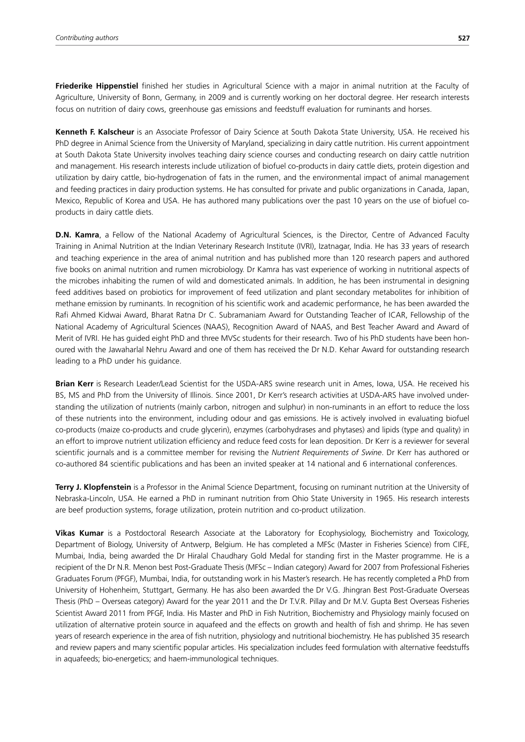**Friederike Hippenstiel** finished her studies in Agricultural Science with a major in animal nutrition at the Faculty of Agriculture, University of Bonn, Germany, in 2009 and is currently working on her doctoral degree. Her research interests focus on nutrition of dairy cows, greenhouse gas emissions and feedstuff evaluation for ruminants and horses.

**Kenneth F. Kalscheur** is an Associate Professor of Dairy Science at South Dakota State University, USA. He received his PhD degree in Animal Science from the University of Maryland, specializing in dairy cattle nutrition. His current appointment at South Dakota State University involves teaching dairy science courses and conducting research on dairy cattle nutrition and management. His research interests include utilization of biofuel co-products in dairy cattle diets, protein digestion and utilization by dairy cattle, bio-hydrogenation of fats in the rumen, and the environmental impact of animal management and feeding practices in dairy production systems. He has consulted for private and public organizations in Canada, Japan, Mexico, Republic of Korea and USA. He has authored many publications over the past 10 years on the use of biofuel coproducts in dairy cattle diets.

**D.N. Kamra**, a Fellow of the National Academy of Agricultural Sciences, is the Director, Centre of Advanced Faculty Training in Animal Nutrition at the Indian Veterinary Research Institute (IVRI), Izatnagar, India. He has 33 years of research and teaching experience in the area of animal nutrition and has published more than 120 research papers and authored five books on animal nutrition and rumen microbiology. Dr Kamra has vast experience of working in nutritional aspects of the microbes inhabiting the rumen of wild and domesticated animals. In addition, he has been instrumental in designing feed additives based on probiotics for improvement of feed utilization and plant secondary metabolites for inhibition of methane emission by ruminants. In recognition of his scientific work and academic performance, he has been awarded the Rafi Ahmed Kidwai Award, Bharat Ratna Dr C. Subramaniam Award for Outstanding Teacher of ICAR, Fellowship of the National Academy of Agricultural Sciences (NAAS), Recognition Award of NAAS, and Best Teacher Award and Award of Merit of IVRI. He has guided eight PhD and three MVSc students for their research. Two of his PhD students have been honoured with the Jawaharlal Nehru Award and one of them has received the Dr N.D. Kehar Award for outstanding research leading to a PhD under his guidance.

**Brian Kerr** is Research Leader/Lead Scientist for the USDA-ARS swine research unit in Ames, Iowa, USA. He received his BS, MS and PhD from the University of Illinois. Since 2001, Dr Kerr's research activities at USDA-ARS have involved understanding the utilization of nutrients (mainly carbon, nitrogen and sulphur) in non-ruminants in an effort to reduce the loss of these nutrients into the environment, including odour and gas emissions. He is actively involved in evaluating biofuel co-products (maize co-products and crude glycerin), enzymes (carbohydrases and phytases) and lipids (type and quality) in an effort to improve nutrient utilization efficiency and reduce feed costs for lean deposition. Dr Kerr is a reviewer for several scientific journals and is a committee member for revising the *Nutrient Requirements of Swine*. Dr Kerr has authored or co-authored 84 scientific publications and has been an invited speaker at 14 national and 6 international conferences.

**Terry J. Klopfenstein** is a Professor in the Animal Science Department, focusing on ruminant nutrition at the University of Nebraska-Lincoln, USA. He earned a PhD in ruminant nutrition from Ohio State University in 1965. His research interests are beef production systems, forage utilization, protein nutrition and co-product utilization.

**Vikas Kumar** is a Postdoctoral Research Associate at the Laboratory for Ecophysiology, Biochemistry and Toxicology, Department of Biology, University of Antwerp, Belgium. He has completed a MFSc (Master in Fisheries Science) from CIFE, Mumbai, India, being awarded the Dr Hiralal Chaudhary Gold Medal for standing first in the Master programme. He is a recipient of the Dr N.R. Menon best Post-Graduate Thesis (MFSc – Indian category) Award for 2007 from Professional Fisheries Graduates Forum (PFGF), Mumbai, India, for outstanding work in his Master's research. He has recently completed a PhD from University of Hohenheim, Stuttgart, Germany. He has also been awarded the Dr V.G. Jhingran Best Post-Graduate Overseas Thesis (PhD – Overseas category) Award for the year 2011 and the Dr T.V.R. Pillay and Dr M.V. Gupta Best Overseas Fisheries Scientist Award 2011 from PFGF, India. His Master and PhD in Fish Nutrition, Biochemistry and Physiology mainly focused on utilization of alternative protein source in aquafeed and the effects on growth and health of fish and shrimp. He has seven years of research experience in the area of fish nutrition, physiology and nutritional biochemistry. He has published 35 research and review papers and many scientific popular articles. His specialization includes feed formulation with alternative feedstuffs in aquafeeds; bio-energetics; and haem-immunological techniques.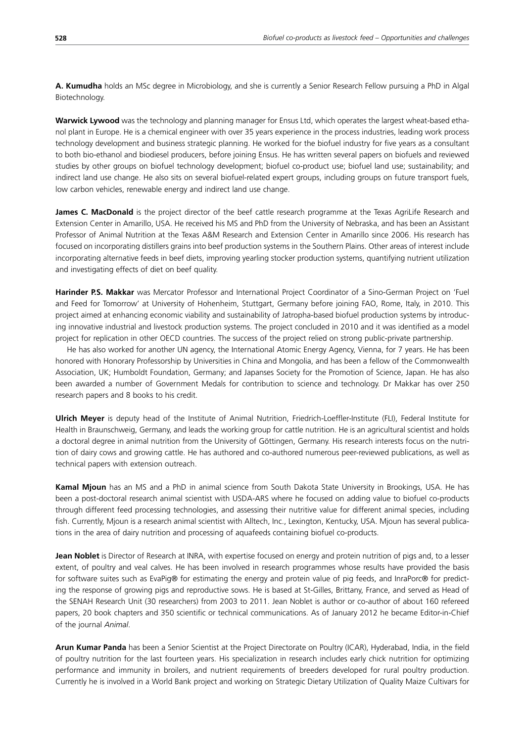**A. Kumudha** holds an MSc degree in Microbiology, and she is currently a Senior Research Fellow pursuing a PhD in Algal Biotechnology.

**Warwick Lywood** was the technology and planning manager for Ensus Ltd, which operates the largest wheat-based ethanol plant in Europe. He is a chemical engineer with over 35 years experience in the process industries, leading work process technology development and business strategic planning. He worked for the biofuel industry for five years as a consultant to both bio-ethanol and biodiesel producers, before joining Ensus. He has written several papers on biofuels and reviewed studies by other groups on biofuel technology development; biofuel co-product use; biofuel land use; sustainability; and indirect land use change. He also sits on several biofuel-related expert groups, including groups on future transport fuels, low carbon vehicles, renewable energy and indirect land use change.

**James C. MacDonald** is the project director of the beef cattle research programme at the Texas AgriLife Research and Extension Center in Amarillo, USA. He received his MS and PhD from the University of Nebraska, and has been an Assistant Professor of Animal Nutrition at the Texas A&M Research and Extension Center in Amarillo since 2006. His research has focused on incorporating distillers grains into beef production systems in the Southern Plains. Other areas of interest include incorporating alternative feeds in beef diets, improving yearling stocker production systems, quantifying nutrient utilization and investigating effects of diet on beef quality.

**Harinder P.S. Makkar** was Mercator Professor and International Project Coordinator of a Sino-German Project on 'Fuel and Feed for Tomorrow' at University of Hohenheim, Stuttgart, Germany before joining FAO, Rome, Italy, in 2010. This project aimed at enhancing economic viability and sustainability of Jatropha-based biofuel production systems by introducing innovative industrial and livestock production systems. The project concluded in 2010 and it was identified as a model project for replication in other OECD countries. The success of the project relied on strong public-private partnership.

He has also worked for another UN agency, the International Atomic Energy Agency, Vienna, for 7 years. He has been honored with Honorary Professorship by Universities in China and Mongolia, and has been a fellow of the Commonwealth Association, UK; Humboldt Foundation, Germany; and Japanses Society for the Promotion of Science, Japan. He has also been awarded a number of Government Medals for contribution to science and technology. Dr Makkar has over 250 research papers and 8 books to his credit.

**Ulrich Meyer** is deputy head of the Institute of Animal Nutrition, Friedrich-Loeffler-Institute (FLI), Federal Institute for Health in Braunschweig, Germany, and leads the working group for cattle nutrition. He is an agricultural scientist and holds a doctoral degree in animal nutrition from the University of Göttingen, Germany. His research interests focus on the nutrition of dairy cows and growing cattle. He has authored and co-authored numerous peer-reviewed publications, as well as technical papers with extension outreach.

**Kamal Mjoun** has an MS and a PhD in animal science from South Dakota State University in Brookings, USA. He has been a post-doctoral research animal scientist with USDA-ARS where he focused on adding value to biofuel co-products through different feed processing technologies, and assessing their nutritive value for different animal species, including fish. Currently, Mjoun is a research animal scientist with Alltech, Inc., Lexington, Kentucky, USA. Mjoun has several publications in the area of dairy nutrition and processing of aquafeeds containing biofuel co-products.

**Jean Noblet** is Director of Research at INRA, with expertise focused on energy and protein nutrition of pigs and, to a lesser extent, of poultry and veal calves. He has been involved in research programmes whose results have provided the basis for software suites such as EvaPig® for estimating the energy and protein value of pig feeds, and InraPorc® for predicting the response of growing pigs and reproductive sows. He is based at St-Gilles, Brittany, France, and served as Head of the SENAH Research Unit (30 researchers) from 2003 to 2011. Jean Noblet is author or co-author of about 160 refereed papers, 20 book chapters and 350 scientific or technical communications. As of January 2012 he became Editor-in-Chief of the journal *Animal*.

**Arun Kumar Panda** has been a Senior Scientist at the Project Directorate on Poultry (ICAR), Hyderabad, India, in the field of poultry nutrition for the last fourteen years. His specialization in research includes early chick nutrition for optimizing performance and immunity in broilers, and nutrient requirements of breeders developed for rural poultry production. Currently he is involved in a World Bank project and working on Strategic Dietary Utilization of Quality Maize Cultivars for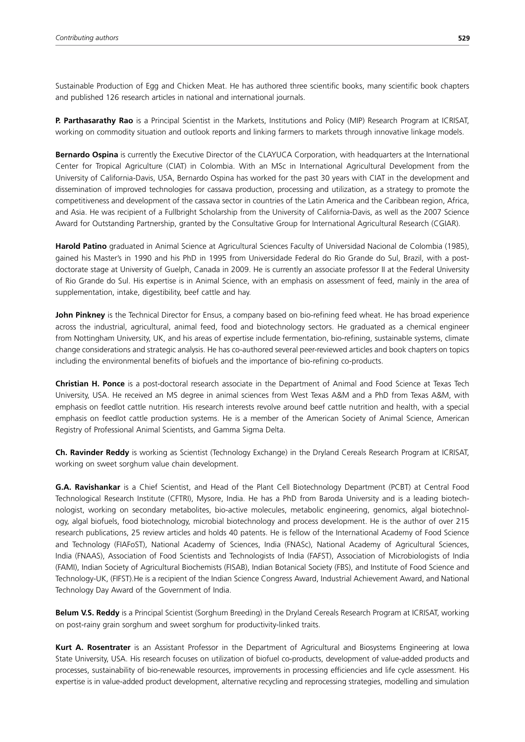Sustainable Production of Egg and Chicken Meat. He has authored three scientific books, many scientific book chapters and published 126 research articles in national and international journals.

**P. Parthasarathy Rao** is a Principal Scientist in the Markets, Institutions and Policy (MIP) Research Program at ICRISAT, working on commodity situation and outlook reports and linking farmers to markets through innovative linkage models.

**Bernardo Ospina** is currently the Executive Director of the CLAYUCA Corporation, with headquarters at the International Center for Tropical Agriculture (CIAT) in Colombia. With an MSc in International Agricultural Development from the University of California-Davis, USA, Bernardo Ospina has worked for the past 30 years with CIAT in the development and dissemination of improved technologies for cassava production, processing and utilization, as a strategy to promote the competitiveness and development of the cassava sector in countries of the Latin America and the Caribbean region, Africa, and Asia. He was recipient of a Fullbright Scholarship from the University of California-Davis, as well as the 2007 Science Award for Outstanding Partnership, granted by the Consultative Group for International Agricultural Research (CGIAR).

**Harold Patino** graduated in Animal Science at Agricultural Sciences Faculty of Universidad Nacional de Colombia (1985), gained his Master's in 1990 and his PhD in 1995 from Universidade Federal do Rio Grande do Sul, Brazil, with a postdoctorate stage at University of Guelph, Canada in 2009. He is currently an associate professor II at the Federal University of Rio Grande do Sul. His expertise is in Animal Science, with an emphasis on assessment of feed, mainly in the area of supplementation, intake, digestibility, beef cattle and hay.

**John Pinkney** is the Technical Director for Ensus, a company based on bio-refining feed wheat. He has broad experience across the industrial, agricultural, animal feed, food and biotechnology sectors. He graduated as a chemical engineer from Nottingham University, UK, and his areas of expertise include fermentation, bio-refining, sustainable systems, climate change considerations and strategic analysis. He has co-authored several peer-reviewed articles and book chapters on topics including the environmental benefits of biofuels and the importance of bio-refining co-products.

**Christian H. Ponce** is a post-doctoral research associate in the Department of Animal and Food Science at Texas Tech University, USA. He received an MS degree in animal sciences from West Texas A&M and a PhD from Texas A&M, with emphasis on feedlot cattle nutrition. His research interests revolve around beef cattle nutrition and health, with a special emphasis on feedlot cattle production systems. He is a member of the American Society of Animal Science, American Registry of Professional Animal Scientists, and Gamma Sigma Delta.

**Ch. Ravinder Reddy** is working as Scientist (Technology Exchange) in the Dryland Cereals Research Program at ICRISAT, working on sweet sorghum value chain development.

**G.A. Ravishankar** is a Chief Scientist, and Head of the Plant Cell Biotechnology Department (PCBT) at Central Food Technological Research Institute (CFTRI), Mysore, India. He has a PhD from Baroda University and is a leading biotechnologist, working on secondary metabolites, bio-active molecules, metabolic engineering, genomics, algal biotechnology, algal biofuels, food biotechnology, microbial biotechnology and process development. He is the author of over 215 research publications, 25 review articles and holds 40 patents. He is fellow of the International Academy of Food Science and Technology (FIAFoST), National Academy of Sciences, India (FNASc), National Academy of Agricultural Sciences, India (FNAAS), Association of Food Scientists and Technologists of India (FAFST), Association of Microbiologists of India (FAMI), Indian Society of Agricultural Biochemists (FISAB), Indian Botanical Society (FBS), and Institute of Food Science and Technology-UK, (FIFST).He is a recipient of the Indian Science Congress Award, Industrial Achievement Award, and National Technology Day Award of the Government of India.

**Belum V.S. Reddy** is a Principal Scientist (Sorghum Breeding) in the Dryland Cereals Research Program at ICRISAT, working on post-rainy grain sorghum and sweet sorghum for productivity-linked traits.

**Kurt A. Rosentrater** is an Assistant Professor in the Department of Agricultural and Biosystems Engineering at Iowa State University, USA. His research focuses on utilization of biofuel co-products, development of value-added products and processes, sustainability of bio-renewable resources, improvements in processing efficiencies and life cycle assessment. His expertise is in value-added product development, alternative recycling and reprocessing strategies, modelling and simulation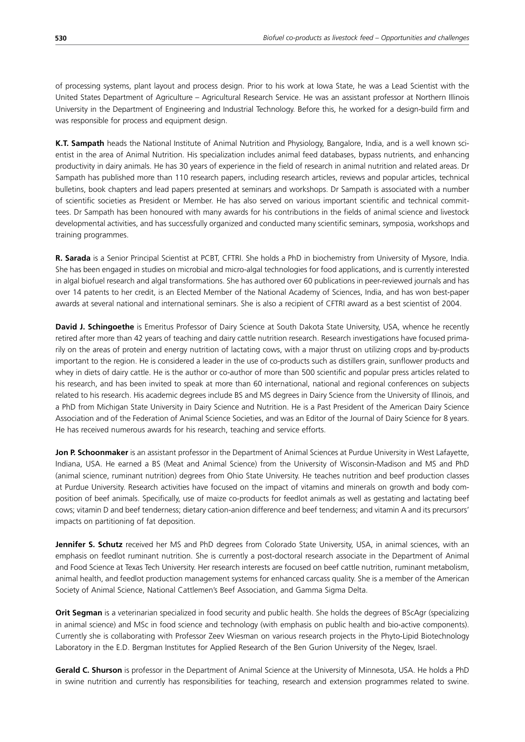of processing systems, plant layout and process design. Prior to his work at Iowa State, he was a Lead Scientist with the United States Department of Agriculture – Agricultural Research Service. He was an assistant professor at Northern Illinois University in the Department of Engineering and Industrial Technology. Before this, he worked for a design-build firm and was responsible for process and equipment design.

**K.T. Sampath** heads the National Institute of Animal Nutrition and Physiology, Bangalore, India, and is a well known scientist in the area of Animal Nutrition. His specialization includes animal feed databases, bypass nutrients, and enhancing productivity in dairy animals. He has 30 years of experience in the field of research in animal nutrition and related areas. Dr Sampath has published more than 110 research papers, including research articles, reviews and popular articles, technical bulletins, book chapters and lead papers presented at seminars and workshops. Dr Sampath is associated with a number of scientific societies as President or Member. He has also served on various important scientific and technical committees. Dr Sampath has been honoured with many awards for his contributions in the fields of animal science and livestock developmental activities, and has successfully organized and conducted many scientific seminars, symposia, workshops and training programmes.

**R. Sarada** is a Senior Principal Scientist at PCBT, CFTRI. She holds a PhD in biochemistry from University of Mysore, India. She has been engaged in studies on microbial and micro-algal technologies for food applications, and is currently interested in algal biofuel research and algal transformations. She has authored over 60 publications in peer-reviewed journals and has over 14 patents to her credit, is an Elected Member of the National Academy of Sciences, India, and has won best-paper awards at several national and international seminars. She is also a recipient of CFTRI award as a best scientist of 2004.

**David J. Schingoethe** is Emeritus Professor of Dairy Science at South Dakota State University, USA, whence he recently retired after more than 42 years of teaching and dairy cattle nutrition research. Research investigations have focused primarily on the areas of protein and energy nutrition of lactating cows, with a major thrust on utilizing crops and by-products important to the region. He is considered a leader in the use of co-products such as distillers grain, sunflower products and whey in diets of dairy cattle. He is the author or co-author of more than 500 scientific and popular press articles related to his research, and has been invited to speak at more than 60 international, national and regional conferences on subjects related to his research. His academic degrees include BS and MS degrees in Dairy Science from the University of Illinois, and a PhD from Michigan State University in Dairy Science and Nutrition. He is a Past President of the American Dairy Science Association and of the Federation of Animal Science Societies, and was an Editor of the Journal of Dairy Science for 8 years. He has received numerous awards for his research, teaching and service efforts.

**Jon P. Schoonmaker** is an assistant professor in the Department of Animal Sciences at Purdue University in West Lafayette, Indiana, USA. He earned a BS (Meat and Animal Science) from the University of Wisconsin-Madison and MS and PhD (animal science, ruminant nutrition) degrees from Ohio State University. He teaches nutrition and beef production classes at Purdue University. Research activities have focused on the impact of vitamins and minerals on growth and body composition of beef animals. Specifically, use of maize co-products for feedlot animals as well as gestating and lactating beef cows; vitamin D and beef tenderness; dietary cation-anion difference and beef tenderness; and vitamin A and its precursors' impacts on partitioning of fat deposition.

Jennifer S. Schutz received her MS and PhD degrees from Colorado State University, USA, in animal sciences, with an emphasis on feedlot ruminant nutrition. She is currently a post-doctoral research associate in the Department of Animal and Food Science at Texas Tech University. Her research interests are focused on beef cattle nutrition, ruminant metabolism, animal health, and feedlot production management systems for enhanced carcass quality. She is a member of the American Society of Animal Science, National Cattlemen's Beef Association, and Gamma Sigma Delta.

**Orit Segman** is a veterinarian specialized in food security and public health. She holds the degrees of BScAgr (specializing in animal science) and MSc in food science and technology (with emphasis on public health and bio-active components). Currently she is collaborating with Professor Zeev Wiesman on various research projects in the Phyto-Lipid Biotechnology Laboratory in the E.D. Bergman Institutes for Applied Research of the Ben Gurion University of the Negev, Israel.

**Gerald C. Shurson** is professor in the Department of Animal Science at the University of Minnesota, USA. He holds a PhD in swine nutrition and currently has responsibilities for teaching, research and extension programmes related to swine.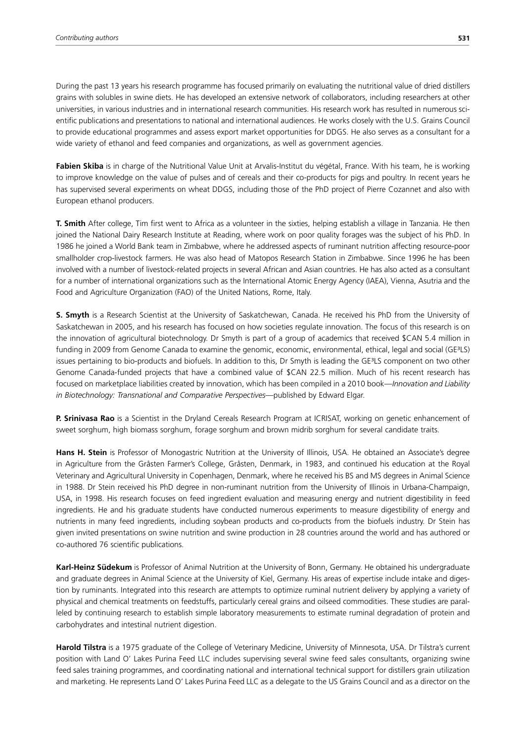During the past 13 years his research programme has focused primarily on evaluating the nutritional value of dried distillers grains with solubles in swine diets. He has developed an extensive network of collaborators, including researchers at other universities, in various industries and in international research communities. His research work has resulted in numerous scientific publications and presentations to national and international audiences. He works closely with the U.S. Grains Council to provide educational programmes and assess export market opportunities for DDGS. He also serves as a consultant for a wide variety of ethanol and feed companies and organizations, as well as government agencies.

**Fabien Skiba** is in charge of the Nutritional Value Unit at Arvalis-Institut du végétal, France. With his team, he is working to improve knowledge on the value of pulses and of cereals and their co-products for pigs and poultry. In recent years he has supervised several experiments on wheat DDGS, including those of the PhD project of Pierre Cozannet and also with European ethanol producers.

**T. Smith** After college, Tim first went to Africa as a volunteer in the sixties, helping establish a village in Tanzania. He then joined the National Dairy Research Institute at Reading, where work on poor quality forages was the subject of his PhD. In 1986 he joined a World Bank team in Zimbabwe, where he addressed aspects of ruminant nutrition affecting resource-poor smallholder crop-livestock farmers. He was also head of Matopos Research Station in Zimbabwe. Since 1996 he has been involved with a number of livestock-related projects in several African and Asian countries. He has also acted as a consultant for a number of international organizations such as the International Atomic Energy Agency (IAEA), Vienna, Asutria and the Food and Agriculture Organization (FAO) of the United Nations, Rome, Italy.

**S. Smyth** is a Research Scientist at the University of Saskatchewan, Canada. He received his PhD from the University of Saskatchewan in 2005, and his research has focused on how societies regulate innovation. The focus of this research is on the innovation of agricultural biotechnology. Dr Smyth is part of a group of academics that received \$CAN 5.4 million in funding in 2009 from Genome Canada to examine the genomic, economic, environmental, ethical, legal and social (GE<sup>3</sup>LS) issues pertaining to bio-products and biofuels. In addition to this, Dr Smyth is leading the GE³LS component on two other Genome Canada-funded projects that have a combined value of \$CAN 22.5 million. Much of his recent research has focused on marketplace liabilities created by innovation, which has been compiled in a 2010 book—*Innovation and Liability in Biotechnology: Transnational and Comparative Perspectives*—published by Edward Elgar.

**P. Srinivasa Rao** is a Scientist in the Dryland Cereals Research Program at ICRISAT, working on genetic enhancement of sweet sorghum, high biomass sorghum, forage sorghum and brown midrib sorghum for several candidate traits.

**Hans H. Stein** is Professor of Monogastric Nutrition at the University of Illinois, USA. He obtained an Associate's degree in Agriculture from the Gråsten Farmer's College, Gråsten, Denmark, in 1983, and continued his education at the Royal Veterinary and Agricultural University in Copenhagen, Denmark, where he received his BS and MS degrees in Animal Science in 1988. Dr Stein received his PhD degree in non-ruminant nutrition from the University of Illinois in Urbana-Champaign, USA, in 1998. His research focuses on feed ingredient evaluation and measuring energy and nutrient digestibility in feed ingredients. He and his graduate students have conducted numerous experiments to measure digestibility of energy and nutrients in many feed ingredients, including soybean products and co-products from the biofuels industry. Dr Stein has given invited presentations on swine nutrition and swine production in 28 countries around the world and has authored or co-authored 76 scientific publications.

**Karl-Heinz Südekum** is Professor of Animal Nutrition at the University of Bonn, Germany. He obtained his undergraduate and graduate degrees in Animal Science at the University of Kiel, Germany. His areas of expertise include intake and digestion by ruminants. Integrated into this research are attempts to optimize ruminal nutrient delivery by applying a variety of physical and chemical treatments on feedstuffs, particularly cereal grains and oilseed commodities. These studies are paralleled by continuing research to establish simple laboratory measurements to estimate ruminal degradation of protein and carbohydrates and intestinal nutrient digestion.

**Harold Tilstra** is a 1975 graduate of the College of Veterinary Medicine, University of Minnesota, USA. Dr Tilstra's current position with Land O' Lakes Purina Feed LLC includes supervising several swine feed sales consultants, organizing swine feed sales training programmes, and coordinating national and international technical support for distillers grain utilization and marketing. He represents Land O' Lakes Purina Feed LLC as a delegate to the US Grains Council and as a director on the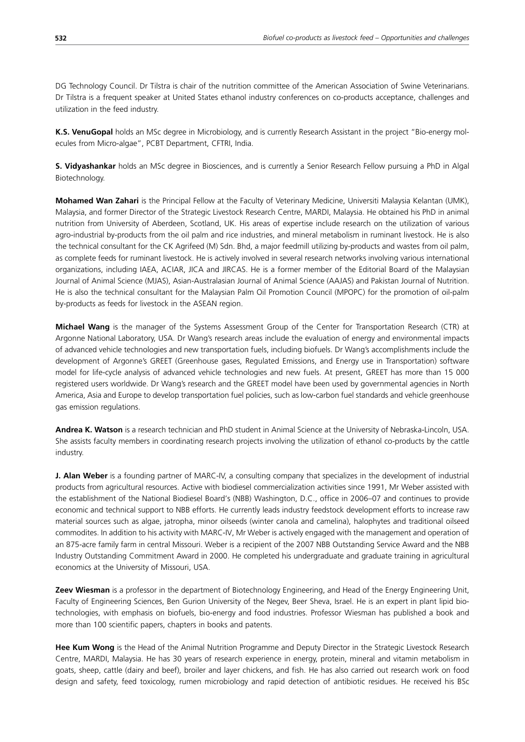DG Technology Council. Dr Tilstra is chair of the nutrition committee of the American Association of Swine Veterinarians. Dr Tilstra is a frequent speaker at United States ethanol industry conferences on co-products acceptance, challenges and utilization in the feed industry.

**K.S. VenuGopal** holds an MSc degree in Microbiology, and is currently Research Assistant in the project "Bio-energy molecules from Micro-algae", PCBT Department, CFTRI, India.

**S. Vidyashankar** holds an MSc degree in Biosciences, and is currently a Senior Research Fellow pursuing a PhD in Algal Biotechnology.

**Mohamed Wan Zahari** is the Principal Fellow at the Faculty of Veterinary Medicine, Universiti Malaysia Kelantan (UMK), Malaysia, and former Director of the Strategic Livestock Research Centre, MARDI, Malaysia. He obtained his PhD in animal nutrition from University of Aberdeen, Scotland, UK. His areas of expertise include research on the utilization of various agro-industrial by-products from the oil palm and rice industries, and mineral metabolism in ruminant livestock. He is also the technical consultant for the CK Agrifeed (M) Sdn. Bhd, a major feedmill utilizing by-products and wastes from oil palm, as complete feeds for ruminant livestock. He is actively involved in several research networks involving various international organizations, including IAEA, ACIAR, JICA and JIRCAS. He is a former member of the Editorial Board of the Malaysian Journal of Animal Science (MJAS), Asian-Australasian Journal of Animal Science (AAJAS) and Pakistan Journal of Nutrition. He is also the technical consultant for the Malaysian Palm Oil Promotion Council (MPOPC) for the promotion of oil-palm by-products as feeds for livestock in the ASEAN region.

**Michael Wang** is the manager of the Systems Assessment Group of the Center for Transportation Research (CTR) at Argonne National Laboratory, USA. Dr Wang's research areas include the evaluation of energy and environmental impacts of advanced vehicle technologies and new transportation fuels, including biofuels. Dr Wang's accomplishments include the development of Argonne's GREET (Greenhouse gases, Regulated Emissions, and Energy use in Transportation) software model for life-cycle analysis of advanced vehicle technologies and new fuels. At present, GREET has more than 15 000 registered users worldwide. Dr Wang's research and the GREET model have been used by governmental agencies in North America, Asia and Europe to develop transportation fuel policies, such as low-carbon fuel standards and vehicle greenhouse gas emission regulations.

**Andrea K. Watson** is a research technician and PhD student in Animal Science at the University of Nebraska-Lincoln, USA. She assists faculty members in coordinating research projects involving the utilization of ethanol co-products by the cattle industry.

**J. Alan Weber** is a founding partner of MARC-IV, a consulting company that specializes in the development of industrial products from agricultural resources. Active with biodiesel commercialization activities since 1991, Mr Weber assisted with the establishment of the National Biodiesel Board's (NBB) Washington, D.C., office in 2006–07 and continues to provide economic and technical support to NBB efforts. He currently leads industry feedstock development efforts to increase raw material sources such as algae, jatropha, minor oilseeds (winter canola and camelina), halophytes and traditional oilseed commodites. In addition to his activity with MARC-IV, Mr Weber is actively engaged with the management and operation of an 875-acre family farm in central Missouri. Weber is a recipient of the 2007 NBB Outstanding Service Award and the NBB Industry Outstanding Commitment Award in 2000. He completed his undergraduate and graduate training in agricultural economics at the University of Missouri, USA.

**Zeev Wiesman** is a professor in the department of Biotechnology Engineering, and Head of the Energy Engineering Unit, Faculty of Engineering Sciences, Ben Gurion University of the Negev, Beer Sheva, Israel. He is an expert in plant lipid biotechnologies, with emphasis on biofuels, bio-energy and food industries. Professor Wiesman has published a book and more than 100 scientific papers, chapters in books and patents.

**Hee Kum Wong** is the Head of the Animal Nutrition Programme and Deputy Director in the Strategic Livestock Research Centre, MARDI, Malaysia. He has 30 years of research experience in energy, protein, mineral and vitamin metabolism in goats, sheep, cattle (dairy and beef), broiler and layer chickens, and fish. He has also carried out research work on food design and safety, feed toxicology, rumen microbiology and rapid detection of antibiotic residues. He received his BSc